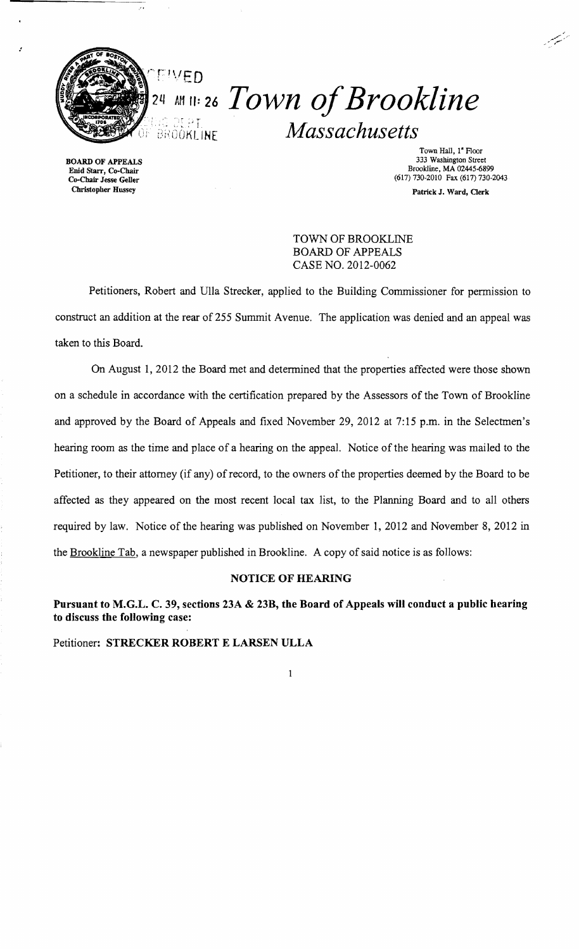

وأمر

:

# EIVED *24 MII: 26 Town of Brookline* **2018 1999.**<br>BROOKLINE *Massachusetts*

BOARD OF APPEALS Enid Starr, Co-Chair Co-Chair Jesse Geller Christopher Hussey

Town Hall, I" Roor 333 Washington Street Brookline, MA 02445-6899 (617) 730-2010 Fax (617) 730-2043 Patrick J. Ward, Cerk

بمنتصب

TOWN OF BROOKLINE BOARD OF APPEALS CASE NO. 2012-0062

Petitioners, Robert and Ulla Strecker, applied to the Building Commissioner for permission to construct an addition at the rear of 255 Summit Avenue. The application was denied and an appeal was taken to this Board.

On August 1, 2012 the Board met and determined that the properties affected were those shown on a schedule in accordance with the certification prepared by the Assessors of the Town of Brookline and approved by the Board of Appeals and fixed November 29, 2012 at 7:15 p.m. in the Selectmen's hearing room as the time and place of a hearing on the appeal. Notice of the hearing was mailed to the Petitioner, to their attorney (if any) of record, to the owners of the properties deemed by the Board to be affected as they appeared on the most recent local tax list, to the Planning Board and to all others required by law. Notice of the hearing was published on November 1,2012 and November 8, 2012 in the Brookline Tab, a newspaper published in Brookline. A copy of said notice is as follows:

#### NOTICE OF HEARING

Pursuant to M.G.L. C. 39, sections 23A & 23B, the Board of Appeals will conduct a public hearing to discuss the following case:

 $\mathbf{1}$ 

Petitioner: STRECKER ROBERT E LARSEN ULLA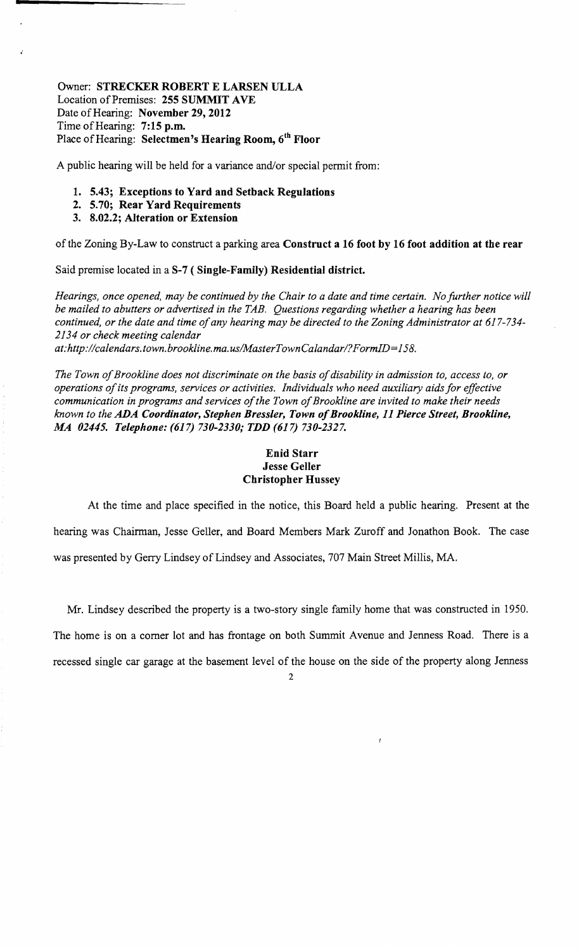## Owner: STRECKER ROBERT E LARSEN ULLA Location of Premises: 255 SUMMIT AVE Date of Hearing: November 29, 2012 Time of Hearing: 7:15 p.m. Place of Hearing: Selectmen's Hearing Room, 6th Floor

A public hearing will be held for a variance and/or special permit from:

- 1. 5.43; Exceptions to Yard and Setback Regulations
- 2. 5.70; Rear Yard Requirements
- 3. 8.02.2; Alteration or Extension

of the Zoning By-Law to construct a parking area Construct a 16 foot by 16 foot addition at the rear

Said premise located in a S-7 (Single-Family) Residential district.

*Hearings, once opened, may be continued by the Chair to a date and time certain. No further notice will be mailed to abutters or advertised in the TAB. Questions regarding whether a hearing has been continued, or the date and time of any hearing may be directed to the Zoning Administrator at 617-734-2134 or check meeting calendar* 

*at:http://calendars.town.brookline.ma.usIMasterTownCalandarl?FormID=158.* 

The Town of Brookline does not discriminate on the basis of disability in admission to, access to, or *operations ofits programs, services or activities. Individuals who need auxiliary aids for effective*  communication in programs and services of the Town of Brookline are invited to make their needs *known to the ADA Coordinator, Stephen Bressler, Town ofBrook/ine,* 11 *Pierce Street, Brookline, MA 02445. Telephone:* (617) *730-2330; TDD* (617) *730-2327.* 

#### Enid Starr Jesse Geller Christopher Hussey

At the time and place specified in the notice, this Board held a public hearing. Present at the hearing was Chairman, Jesse Geller, and Board Members Mark Zuroff and Jonathon Book. The case was presented by Gerry Lindsey of Lindsey and Associates, 707 Main Street Millis, MA.

Mr. Lindsey described the property is a two-story single family home that was constructed in 1950. The home is on a comer lot and has frontage on both Summit Avenue and Jenness Road. There is a recessed single car garage at the basement level of the house on the side of the property along Jenness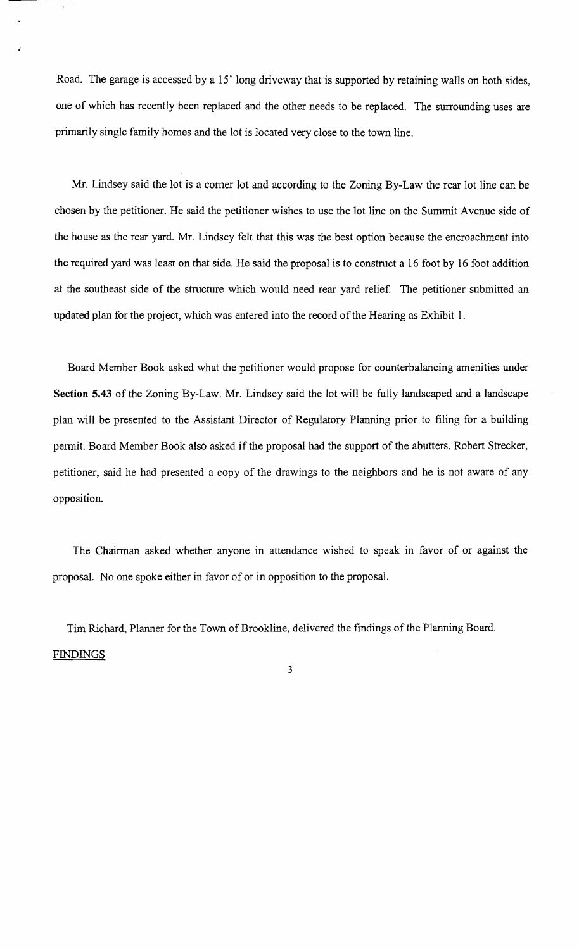Road. The garage is accessed by a 15' long driveway that is supported by retaining walls on both sides, one of which has recently been replaced and the other needs to be replaced. The surrounding uses are primarily single family homes and the lot is located very close to the town line.

Mr. Lindsey said the lot is a comer lot and according to the Zoning By-Law the rear lot line can be chosen by the petitioner. He said the petitioner wishes to use the lot line on the Summit Avenue side of the house as the rear yard. Mr. Lindsey felt that this was the best option because the encroachment into the required yard was least on that side. He said the proposal is to construct a 16 foot by 16 foot addition at the southeast side of the structure which would need rear yard relief. The petitioner submitted an updated plan for the project, which was entered into the record of the Hearing as Exhibit 1.

Board Member Book asked what the petitioner would propose for counterbalancing amenities under **Section 5.43** of the Zoning By-Law. Mr. Lindsey said the lot will be fully landscaped and a landscape plan will be presented to the Assistant Director of Regulatory Planning prior to filing for a building permit. Board Member Book also asked if the proposal had the support of the abutters. Robert Strecker, petitioner, said he had presented a copy of the drawings to the neighbors and he is not aware of any opposition.

The Chairman asked whether anyone in attendance wished to speak in favor of or against the proposal. No one spoke either in favor of or in opposition to the proposal.

Tim Richard, Planner for the Town of Brookline, delivered the findings of the Planning Board.

3

### **FINDINGS**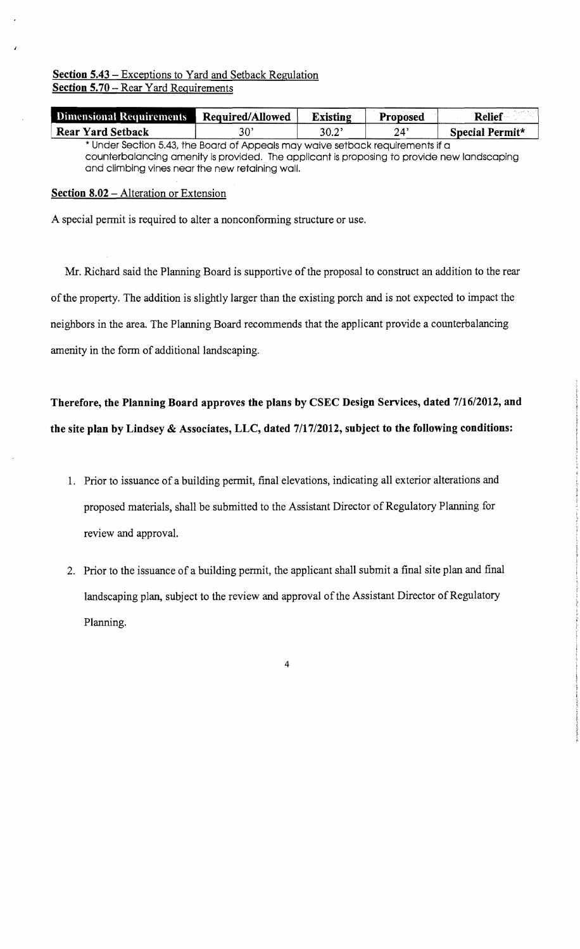## **Section 5.43** - Exceptions to Yard and Setback Regulation **Section 5.70 - Rear Yard Requirements**

| <b>Dimensional Requirements</b>                                                | Required/Allowed | <b>Existing</b> | <b>Proposed</b> | <b>Relief</b>   |
|--------------------------------------------------------------------------------|------------------|-----------------|-----------------|-----------------|
| <b>Rear Yard Setback</b>                                                       | 30'              | $30.2^{\circ}$  | 24'             | Special Permit* |
| * Under Section 5.43, the Board of Appeals may waive setback requirements if a |                  |                 |                 |                 |

counterbalancing amenity Is provided. The applicant Is proposing to provide new landscaping and climbing vines near the new retaining wall.

## **Section 8.02 - Alteration or Extension**

A special permit is required to alter a nonconforming structure or use.

Mr. Richard said the Planning Board is supportive of the proposal to construct an addition to the rear ofthe property. The addition is slightly larger than the existing porch and is not expected to impact the neighbors in the area. The Planning Board recommends that the applicant provide a counterbalancing amenity in the form of additional landscaping.

**Therefore, the Planning Board approves the plans by CSEC Design Services, dated 7116/2012, and the site plan by Lindsey & Associates, LLC, dated 7117/2012, subject to the following conditions:** 

- 1. Prior to issuance of a building permit, final elevations, indicating all exterior alterations and proposed materials, shall be submitted to the Assistant Director of Regulatory Planning for review and approval.
- 2. Prior to the issuance of a building permit, the applicant shall submit a final site plan and final landscaping plan, subject to the review and approval of the Assistant Director of Regulatory Planning.

4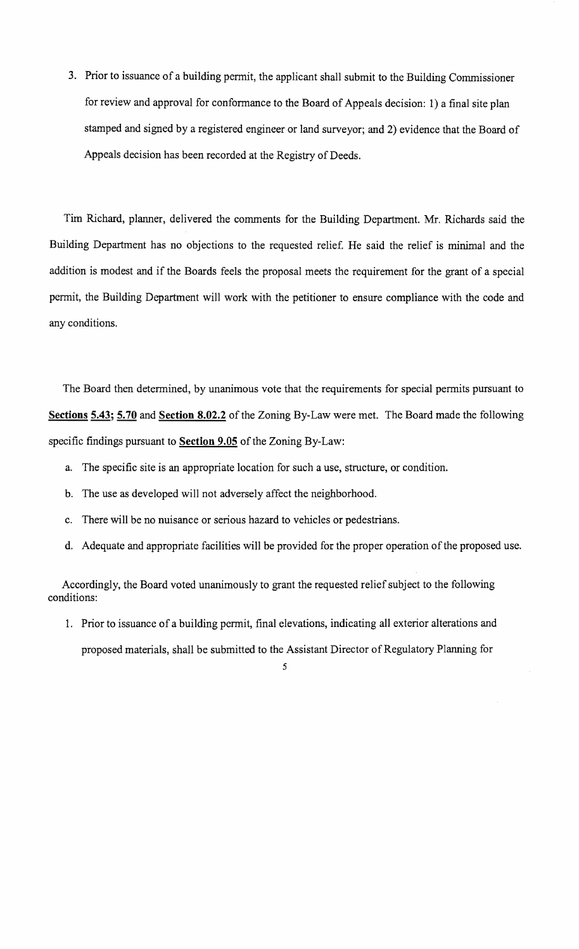3. Prior to issuance of a building permit, the applicant shall submit to the Building Commissioner for review and approval for conformance to the Board of Appeals decision: 1) a final site plan stamped and signed by a registered engineer or land surveyor; and 2) evidence that the Board of Appeals decision has been recorded at the Registry of Deeds.

Tim Richard, planner, delivered the comments for the Building Department. Mr. Richards said the Building Department has no objections to the requested relief. He said the relief is minimal and the addition is modest and if the Boards feels the proposal meets the requirement for the grant of a special pennit, the Building Department will work with the petitioner to ensure compliance with the code and any conditions.

The Board then determined, by unanimous vote that the requirements for special permits pursuant to **Sections 5.43; 5.70 and Section 8.02.2** of the Zoning By-Law were met. The Board made the following specific findings pursuant to **Section 9.05** of the Zoning By-Law:

- a. The specific site is an appropriate location for such a use, structure, or condition.
- b. The use as developed will not adversely affect the neighborhood.
- c. There will be no nuisance or serious hazard to vehicles or pedestrians.
- d. Adequate and appropriate facilities will be provided for the proper operation of the proposed use.

Accordingly, the Board voted unanimously to grant the requested relief subject to the following conditions:

1. Prior to issuance of a building permit, final elevations, indicating all exterior alterations and proposed materials, shall be submitted to the Assistant Director of Regulatory Planning for

<sup>5</sup>